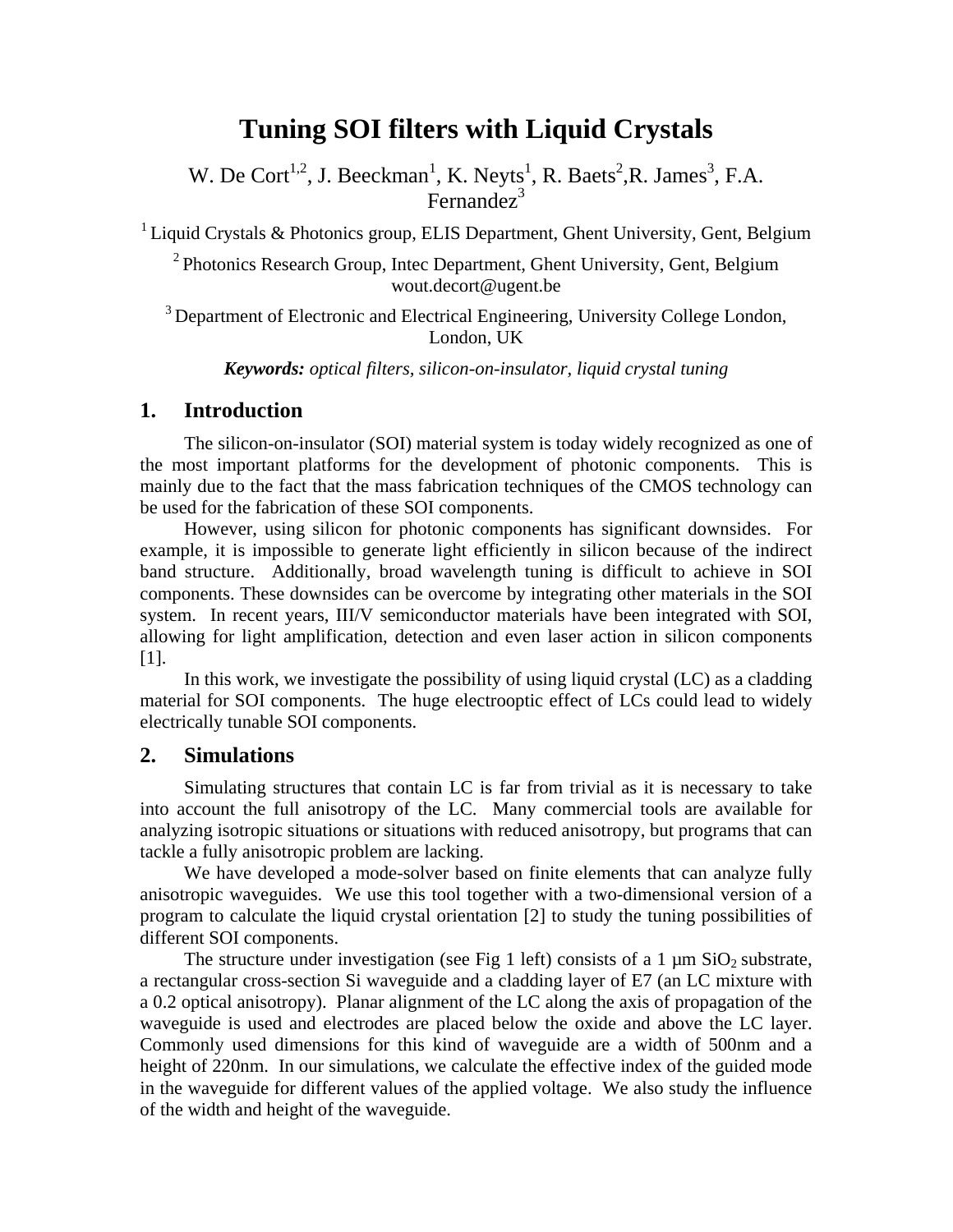# **Tuning SOI filters with Liquid Crystals**

W. De Cort<sup>1,2</sup>, J. Beeckman<sup>1</sup>, K. Neyts<sup>1</sup>, R. Baets<sup>2</sup>, R. James<sup>3</sup>, F.A. Fernandez<sup>3</sup>

 $1$  Liquid Crystals & Photonics group, ELIS Department, Ghent University, Gent, Belgium

<sup>2</sup> Photonics Research Group, Intec Department, Ghent University, Gent, Belgium wout.decort@ugent.be

<sup>3</sup> Department of Electronic and Electrical Engineering, University College London, London, UK

*Keywords: optical filters, silicon-on-insulator, liquid crystal tuning* 

## **1. Introduction**

The silicon-on-insulator (SOI) material system is today widely recognized as one of the most important platforms for the development of photonic components. This is mainly due to the fact that the mass fabrication techniques of the CMOS technology can be used for the fabrication of these SOI components.

However, using silicon for photonic components has significant downsides. For example, it is impossible to generate light efficiently in silicon because of the indirect band structure. Additionally, broad wavelength tuning is difficult to achieve in SOI components. These downsides can be overcome by integrating other materials in the SOI system. In recent years, III/V semiconductor materials have been integrated with SOI, allowing for light amplification, detection and even laser action in silicon components [1].

In this work, we investigate the possibility of using liquid crystal (LC) as a cladding material for SOI components. The huge electrooptic effect of LCs could lead to widely electrically tunable SOI components.

### **2. Simulations**

Simulating structures that contain LC is far from trivial as it is necessary to take into account the full anisotropy of the LC. Many commercial tools are available for analyzing isotropic situations or situations with reduced anisotropy, but programs that can tackle a fully anisotropic problem are lacking.

We have developed a mode-solver based on finite elements that can analyze fully anisotropic waveguides. We use this tool together with a two-dimensional version of a program to calculate the liquid crystal orientation [2] to study the tuning possibilities of different SOI components.

The structure under investigation (see Fig 1 left) consists of a 1  $\mu$ m SiO<sub>2</sub> substrate, a rectangular cross-section Si waveguide and a cladding layer of E7 (an LC mixture with a 0.2 optical anisotropy). Planar alignment of the LC along the axis of propagation of the waveguide is used and electrodes are placed below the oxide and above the LC layer. Commonly used dimensions for this kind of waveguide are a width of 500nm and a height of 220nm. In our simulations, we calculate the effective index of the guided mode in the waveguide for different values of the applied voltage. We also study the influence of the width and height of the waveguide.